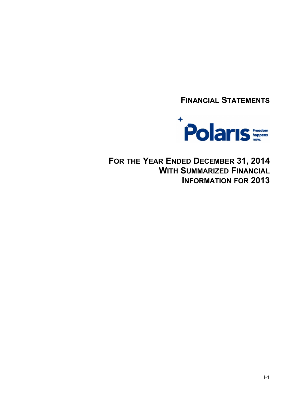**FINANCIAL STATEMENTS**



**FOR THE YEAR ENDED DECEMBER 31, 2014 WITH SUMMARIZED FINANCIAL INFORMATION FOR 2013**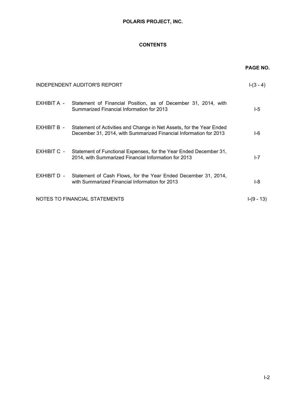# **CONTENTS**

|             |                                                                                                                                           | <b>PAGE NO.</b> |
|-------------|-------------------------------------------------------------------------------------------------------------------------------------------|-----------------|
|             | <b>INDEPENDENT AUDITOR'S REPORT</b>                                                                                                       | $1-(3-4)$       |
| EXHIBIT A - | Statement of Financial Position, as of December 31, 2014, with<br>Summarized Financial Information for 2013                               | $I-5$           |
| EXHIBIT B - | Statement of Activities and Change in Net Assets, for the Year Ended<br>December 31, 2014, with Summarized Financial Information for 2013 | $1-6$           |
| EXHIBIT C - | Statement of Functional Expenses, for the Year Ended December 31,<br>2014, with Summarized Financial Information for 2013                 | $I - 7$         |
| EXHIBIT D - | Statement of Cash Flows, for the Year Ended December 31, 2014,<br>with Summarized Financial Information for 2013                          | $1-8$           |
|             | NOTES TO FINANCIAL STATEMENTS                                                                                                             | $I-(9-13)$      |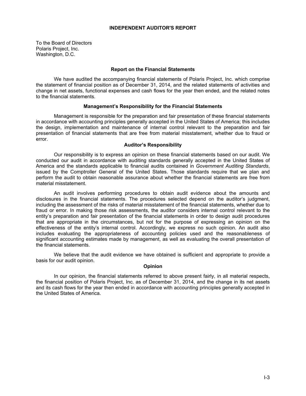## **INDEPENDENT AUDITOR'S REPORT**

To the Board of Directors Polaris Project, Inc. Washington, D.C.

### **Report on the Financial Statements**

We have audited the accompanying financial statements of Polaris Project, Inc. which comprise the statement of financial position as of December 31, 2014, and the related statements of activities and change in net assets, functional expenses and cash flows for the year then ended, and the related notes to the financial statements.

### **Management's Responsibility for the Financial Statements**

Management is responsible for the preparation and fair presentation of these financial statements in accordance with accounting principles generally accepted in the United States of America; this includes the design, implementation and maintenance of internal control relevant to the preparation and fair presentation of financial statements that are free from material misstatement, whether due to fraud or error.

### **Auditor's Responsibility**

Our responsibility is to express an opinion on these financial statements based on our audit. We conducted our audit in accordance with auditing standards generally accepted in the United States of America and the standards applicable to financial audits contained in *Government Auditing Standards*, issued by the Comptroller General of the United States. Those standards require that we plan and perform the audit to obtain reasonable assurance about whether the financial statements are free from material misstatement.

An audit involves performing procedures to obtain audit evidence about the amounts and disclosures in the financial statements. The procedures selected depend on the auditor's judgment, including the assessment of the risks of material misstatement of the financial statements, whether due to fraud or error. In making those risk assessments, the auditor considers internal control relevant to the entity's preparation and fair presentation of the financial statements in order to design audit procedures that are appropriate in the circumstances, but not for the purpose of expressing an opinion on the effectiveness of the entity's internal control. Accordingly, we express no such opinion. An audit also includes evaluating the appropriateness of accounting policies used and the reasonableness of significant accounting estimates made by management, as well as evaluating the overall presentation of the financial statements.

We believe that the audit evidence we have obtained is sufficient and appropriate to provide a basis for our audit opinion.

## **Opinion**

In our opinion, the financial statements referred to above present fairly, in all material respects, the financial position of Polaris Project, Inc. as of December 31, 2014, and the change in its net assets and its cash flows for the year then ended in accordance with accounting principles generally accepted in the United States of America.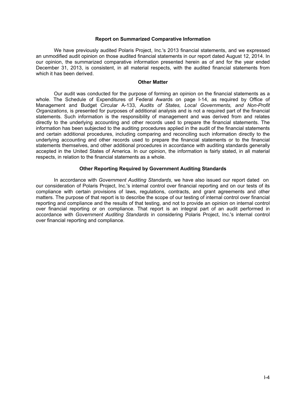### **Report on Summarized Comparative Information**

We have previously audited Polaris Project, Inc.'s 2013 financial statements, and we expressed an unmodified audit opinion on those audited financial statements in our report dated August 12, 2014. In our opinion, the summarized comparative information presented herein as of and for the year ended December 31, 2013, is consistent, in all material respects, with the audited financial statements from which it has been derived.

## **Other Matter**

Our audit was conducted for the purpose of forming an opinion on the financial statements as a whole. The Schedule of Expenditures of Federal Awards on page I-14, as required by Office of Management and Budget Circular A-133, *Audits of States, Local Governments, and Non-Profit Organizations*, is presented for purposes of additional analysis and is not a required part of the financial statements. Such information is the responsibility of management and was derived from and relates directly to the underlying accounting and other records used to prepare the financial statements. The information has been subjected to the auditing procedures applied in the audit of the financial statements and certain additional procedures, including comparing and reconciling such information directly to the underlying accounting and other records used to prepare the financial statements or to the financial statements themselves, and other additional procedures in accordance with auditing standards generally accepted in the United States of America. In our opinion, the information is fairly stated, in all material respects, in relation to the financial statements as a whole.

## **Other Reporting Required by Government Auditing Standards**

In accordance with *Government Auditing Standards*, we have also issued our report dated on our consideration of Polaris Project, Inc.'s internal control over financial reporting and on our tests of its compliance with certain provisions of laws, regulations, contracts, and grant agreements and other matters. The purpose of that report is to describe the scope of our testing of internal control over financial reporting and compliance and the results of that testing, and not to provide an opinion on internal control over financial reporting or on compliance. That report is an integral part of an audit performed in accordance with *Government Auditing Standards* in considering Polaris Project, Inc.'s internal control over financial reporting and compliance.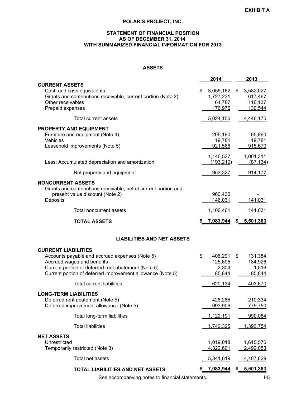## **STATEMENT OF FINANCIAL POSITION AS OF DECEMBER 31, 2014 WITH SUMMARIZED FINANCIAL INFORMATION FOR 2013**

## **ASSETS**

|                                                                                                                                                                                                                                                                     |    | 2014                                             | 2013                                                   |
|---------------------------------------------------------------------------------------------------------------------------------------------------------------------------------------------------------------------------------------------------------------------|----|--------------------------------------------------|--------------------------------------------------------|
| <b>CURRENT ASSETS</b><br>Cash and cash equivalents<br>Grants and contributions receivable, current portion (Note 2)<br>Other receivables<br>Prepaid expenses                                                                                                        | S  | 3,055,162<br>1,727,231<br>64,787<br>176,976      | \$<br>3,582,027<br>617,467<br>116,137<br>130,544       |
| Total current assets                                                                                                                                                                                                                                                |    | 5,024,156                                        | 4,446,175                                              |
| <b>PROPERTY AND EQUIPMENT</b><br>Furniture and equipment (Note 4)<br>Vehicles<br>Leasehold improvements (Note 5)                                                                                                                                                    |    | 205,190<br>19,781<br>921,566<br>1,146,537        | 65,860<br>19,781<br>915,670<br>1,001,311               |
| Less: Accumulated depreciation and amortization                                                                                                                                                                                                                     |    | (193, 210)                                       | (87, 134)                                              |
| Net property and equipment                                                                                                                                                                                                                                          |    | 953,327                                          | 914,177                                                |
| <b>NONCURRENT ASSETS</b><br>Grants and contributions receivable, net of current portion and<br>present value discount (Note 2)<br>Deposits                                                                                                                          |    | 960,430<br>146,031                               | 141,031                                                |
| Total noncurrent assets                                                                                                                                                                                                                                             |    | 1,106,461                                        | 141,031                                                |
| <b>TOTAL ASSETS</b>                                                                                                                                                                                                                                                 |    | 7,083,944                                        | \$ 5,501,383                                           |
| <b>LIABILITIES AND NET ASSETS</b>                                                                                                                                                                                                                                   |    |                                                  |                                                        |
| <b>CURRENT LIABILITIES</b><br>Accounts payable and accrued expenses (Note 5)<br>Accrued wages and benefits<br>Current portion of deferred rent abatement (Note 5)<br>Current portion of deferred improvement allowance (Note 5)<br><b>Total current liabilities</b> | \$ | 406,291<br>125,695<br>2,304<br>85,844<br>620,134 | \$<br>131,384<br>184,926<br>1,516<br>85,844<br>403,670 |
| <b>LONG-TERM LIABILITIES</b><br>Deferred rent abatement (Note 5)<br>Deferred improvement allowance (Note 5)                                                                                                                                                         |    | 428,285<br>693,906                               | 210,334<br>779,750                                     |
| Total long-term liabilities                                                                                                                                                                                                                                         |    | 1,122,191                                        | 990,084                                                |
| <b>Total liabilities</b>                                                                                                                                                                                                                                            |    | <u>1,742,325</u>                                 | 1,393,754                                              |
| <b>NET ASSETS</b><br>Unrestricted<br>Temporarily restricted (Note 3)                                                                                                                                                                                                |    | 1,019,018<br>4,322,601                           | 1,615,576<br>2,492,053                                 |
| Total net assets                                                                                                                                                                                                                                                    |    | 5,341,619                                        | <u>4,107,629</u>                                       |
| TOTAL LIABILITIES AND NET ASSETS                                                                                                                                                                                                                                    |    | \$ 7,083,944 \$ 5,501,383                        |                                                        |

See accompanying notes to financial statements. The accompanying notes to financial statements.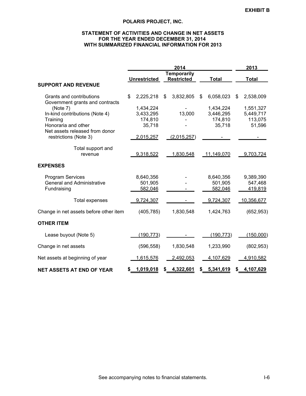## **STATEMENT OF ACTIVITIES AND CHANGE IN NET ASSETS FOR THE YEAR ENDED DECEMBER 31, 2014 WITH SUMMARIZED FINANCIAL INFORMATION FOR 2013**

|                                                                             | 2014 |                                 |    |                                         | 2013                            |    |                                 |
|-----------------------------------------------------------------------------|------|---------------------------------|----|-----------------------------------------|---------------------------------|----|---------------------------------|
|                                                                             |      | <b>Unrestricted</b>             |    | <b>Temporarily</b><br><b>Restricted</b> | <b>Total</b>                    |    | <b>Total</b>                    |
| <b>SUPPORT AND REVENUE</b>                                                  |      |                                 |    |                                         |                                 |    |                                 |
| Grants and contributions<br>Government grants and contracts                 | \$   | 2,225,218                       | \$ | 3,832,805                               | \$<br>6,058,023                 | \$ | 2,538,009                       |
| (Note 7)                                                                    |      | 1,434,224                       |    |                                         | 1,434,224                       |    | 1,551,327                       |
| In-kind contributions (Note 4)                                              |      | 3,433,295                       |    | 13,000                                  | 3,446,295                       |    | 5,449,717                       |
| Training                                                                    |      | 174,810                         |    |                                         | 174,810                         |    | 113,075                         |
| Honoraria and other                                                         |      | 35,718                          |    |                                         | 35,718                          |    | 51,596                          |
| Net assets released from donor<br>restrictions (Note 3)                     |      | 2,015,257                       |    | (2,015,257)                             |                                 |    |                                 |
| Total support and<br>revenue                                                |      | 9,318,522                       |    | 1,830,548                               | 11,149,070                      |    | 9,703,724                       |
| <b>EXPENSES</b>                                                             |      |                                 |    |                                         |                                 |    |                                 |
| <b>Program Services</b><br><b>General and Administrative</b><br>Fundraising |      | 8,640,356<br>501,905<br>582,046 |    |                                         | 8,640,356<br>501,905<br>582,046 |    | 9,389,390<br>547,468<br>419,819 |
| <b>Total expenses</b>                                                       |      | 9,724,307                       |    |                                         | 9,724,307                       |    | 10,356,677                      |
| Change in net assets before other item                                      |      | (405, 785)                      |    | 1,830,548                               | 1,424,763                       |    | (652, 953)                      |
| <b>OTHER ITEM</b>                                                           |      |                                 |    |                                         |                                 |    |                                 |
| Lease buyout (Note 5)                                                       |      | (190, 773)                      |    |                                         | (190, 773)                      |    | (150,000)                       |
| Change in net assets                                                        |      | (596, 558)                      |    | 1,830,548                               | 1,233,990                       |    | (802, 953)                      |
| Net assets at beginning of year                                             |      | 1,615,576                       |    | 2,492,053                               | 4,107,629                       |    | 4,910,582                       |
| <b>NET ASSETS AT END OF YEAR</b>                                            |      | \$ 1,019,018                    |    | 4,322,601                               | \$<br>5,341,619                 | S. | 4,107,629                       |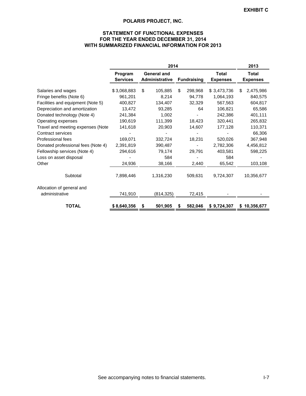## **STATEMENT OF FUNCTIONAL EXPENSES FOR THE YEAR ENDED DECEMBER 31, 2014 WITH SUMMARIZED FINANCIAL INFORMATION FOR 2013**

|                                    | 2014                       |                                      |                    |                                 | 2013                     |
|------------------------------------|----------------------------|--------------------------------------|--------------------|---------------------------------|--------------------------|
|                                    | Program<br><b>Services</b> | <b>General and</b><br>Administrative | <b>Fundraising</b> | <b>Total</b><br><b>Expenses</b> | Total<br><b>Expenses</b> |
| Salaries and wages                 | \$3,068,883                | \$<br>105,885                        | \$<br>298,968      | \$3,473,736                     | 2,475,986<br>\$          |
| Fringe benefits (Note 6)           | 961,201                    | 8,214                                | 94,778             | 1,064,193                       | 840,575                  |
| Facilities and equipment (Note 5)  | 400,827                    | 134,407                              | 32,329             | 567,563                         | 604,817                  |
| Depreciation and amortization      | 13,472                     | 93,285                               | 64                 | 106,821                         | 65,586                   |
| Donated technology (Note 4)        | 241,384                    | 1,002                                |                    | 242,386                         | 401,111                  |
| Operating expenses                 | 190,619                    | 111,399                              | 18,423             | 320,441                         | 265,832                  |
| Travel and meeting expenses (Note  | 141,618                    | 20,903                               | 14,607             | 177,128                         | 110,371                  |
| Contract services                  |                            |                                      |                    |                                 | 66,306                   |
| Professional fees                  | 169,071                    | 332,724                              | 18,231             | 520,026                         | 367,948                  |
| Donated professional fees (Note 4) | 2,391,819                  | 390,487                              |                    | 2,782,306                       | 4,456,812                |
| Fellowship services (Note 4)       | 294,616                    | 79,174                               | 29,791             | 403,581                         | 598,225                  |
| Loss on asset disposal             |                            | 584                                  |                    | 584                             |                          |
| Other                              | 24,936                     | 38,166                               | 2,440              | 65,542                          | 103,108                  |
| Subtotal                           | 7,898,446                  | 1,316,230                            | 509,631            | 9,724,307                       | 10,356,677               |
| Allocation of general and          |                            |                                      |                    |                                 |                          |
| administrative                     | 741,910                    | (814, 325)                           | 72,415             |                                 |                          |
| TOTAL                              | \$8,640,356                | 501,905<br>\$                        | 582,046<br>S       | \$9,724,307                     | 10,356,677<br>S.         |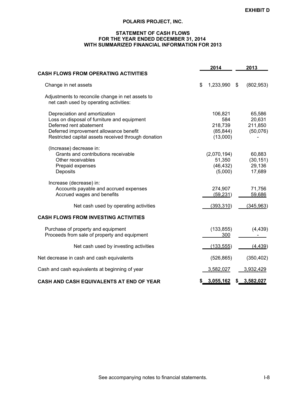## **STATEMENT OF CASH FLOWS FOR THE YEAR ENDED DECEMBER 31, 2014 WITH SUMMARIZED FINANCIAL INFORMATION FOR 2013**

|                                                                                                                                                                                                          | 2014                                               | 2013                                    |
|----------------------------------------------------------------------------------------------------------------------------------------------------------------------------------------------------------|----------------------------------------------------|-----------------------------------------|
| <b>CASH FLOWS FROM OPERATING ACTIVITIES</b>                                                                                                                                                              |                                                    |                                         |
| Change in net assets                                                                                                                                                                                     | \$<br>1,233,990                                    | (802, 953)<br>\$                        |
| Adjustments to reconcile change in net assets to<br>net cash used by operating activities:                                                                                                               |                                                    |                                         |
| Depreciation and amortization<br>Loss on disposal of furniture and equipment<br>Deferred rent abatement<br>Deferred improvement allowance benefit<br>Restricted capital assets received through donation | 106,821<br>584<br>218,739<br>(85, 844)<br>(13,000) | 65,586<br>20,631<br>211,850<br>(50,076) |
| (Increase) decrease in:<br>Grants and contributions receivable<br>Other receivables<br>Prepaid expenses<br>Deposits                                                                                      | (2,070,194)<br>51,350<br>(46, 432)<br>(5,000)      | 60,883<br>(30, 151)<br>29,136<br>17,689 |
| Increase (decrease) in:<br>Accounts payable and accrued expenses<br>Accrued wages and benefits                                                                                                           | 274,907<br>(59, 231)                               | 71,756<br>59,686                        |
| Net cash used by operating activities                                                                                                                                                                    | (393, 310)                                         | (345,963)                               |
| <b>CASH FLOWS FROM INVESTING ACTIVITIES</b>                                                                                                                                                              |                                                    |                                         |
| Purchase of property and equipment<br>Proceeds from sale of property and equipment                                                                                                                       | (133, 855)<br>300                                  | (4, 439)                                |
| Net cash used by investing activities                                                                                                                                                                    | (133, 555)                                         | (4, 439)                                |
| Net decrease in cash and cash equivalents                                                                                                                                                                | (526, 865)                                         | (350, 402)                              |
| Cash and cash equivalents at beginning of year                                                                                                                                                           | 3,582,027                                          | 3,932,429                               |
| <b>CASH AND CASH EQUIVALENTS AT END OF YEAR</b>                                                                                                                                                          | 3,055,162                                          | \$ 3,582,027                            |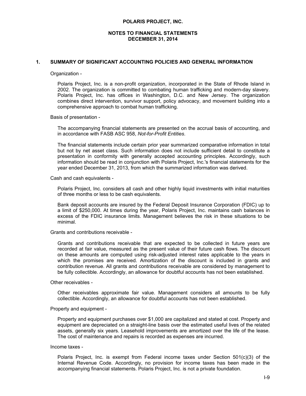### **1. SUMMARY OF SIGNIFICANT ACCOUNTING POLICIES AND GENERAL INFORMATION**

Organization -

Polaris Project, Inc. is a non-profit organization, incorporated in the State of Rhode Island in 2002. The organization is committed to combating human trafficking and modern-day slavery. Polaris Project, Inc. has offices in Washington, D.C. and New Jersey. The organization combines direct intervention, survivor support, policy advocacy, and movement building into a comprehensive approach to combat human trafficking.

Basis of presentation -

The accompanying financial statements are presented on the accrual basis of accounting, and in accordance with FASB ASC 958, *Not-for-Profit Entities*.

The financial statements include certain prior year summarized comparative information in total but not by net asset class. Such information does not include sufficient detail to constitute a presentation in conformity with generally accepted accounting principles. Accordingly, such information should be read in conjunction with Polaris Project, Inc.'s financial statements for the year ended December 31, 2013, from which the summarized information was derived.

Cash and cash equivalents -

Polaris Project, Inc. considers all cash and other highly liquid investments with initial maturities of three months or less to be cash equivalents.

Bank deposit accounts are insured by the Federal Deposit Insurance Corporation (FDIC) up to a limit of \$250,000. At times during the year, Polaris Project, Inc. maintains cash balances in excess of the FDIC insurance limits. Management believes the risk in these situations to be minimal.

Grants and contributions receivable -

Grants and contributions receivable that are expected to be collected in future years are recorded at fair value, measured as the present value of their future cash flows. The discount on these amounts are computed using risk-adjusted interest rates applicable to the years in which the promises are received. Amortization of the discount is included in grants and contribution revenue. All grants and contributions receivable are considered by management to be fully collectible. Accordingly, an allowance for doubtful accounts has not been established.

Other receivables -

Other receivables approximate fair value. Management considers all amounts to be fully collectible. Accordingly, an allowance for doubtful accounts has not been established.

### Property and equipment -

Property and equipment purchases over \$1,000 are capitalized and stated at cost. Property and equipment are depreciated on a straight-line basis over the estimated useful lives of the related assets, generally six years. Leasehold improvements are amortized over the life of the lease. The cost of maintenance and repairs is recorded as expenses are incurred.

#### Income taxes -

Polaris Project, Inc. is exempt from Federal income taxes under Section  $501(c)(3)$  of the Internal Revenue Code. Accordingly, no provision for income taxes has been made in the accompanying financial statements. Polaris Project, Inc. is not a private foundation.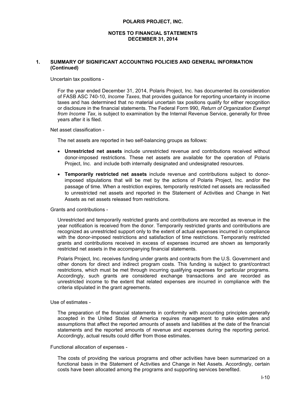## **1. SUMMARY OF SIGNIFICANT ACCOUNTING POLICIES AND GENERAL INFORMATION (Continued)**

Uncertain tax positions -

For the year ended December 31, 2014, Polaris Project, Inc. has documented its consideration of FASB ASC 740-10, *Income Taxes*, that provides guidance for reporting uncertainty in income taxes and has determined that no material uncertain tax positions qualify for either recognition or disclosure in the financial statements. The Federal Form 990, *Return of Organization Exempt from Income Tax*, is subject to examination by the Internal Revenue Service, generally for three years after it is filed.

Net asset classification -

The net assets are reported in two self-balancing groups as follows:

- **Unrestricted net assets** include unrestricted revenue and contributions received without donor-imposed restrictions. These net assets are available for the operation of Polaris Project, Inc. and include both internally designated and undesignated resources.
- **Temporarily restricted net assets** include revenue and contributions subject to donorimposed stipulations that will be met by the actions of Polaris Project, Inc. and/or the passage of time. When a restriction expires, temporarily restricted net assets are reclassified to unrestricted net assets and reported in the Statement of Activities and Change in Net Assets as net assets released from restrictions.

Grants and contributions -

Unrestricted and temporarily restricted grants and contributions are recorded as revenue in the year notification is received from the donor. Temporarily restricted grants and contributions are recognized as unrestricted support only to the extent of actual expenses incurred in compliance with the donor-imposed restrictions and satisfaction of time restrictions. Temporarily restricted grants and contributions received in excess of expenses incurred are shown as temporarily restricted net assets in the accompanying financial statements.

Polaris Project, Inc. receives funding under grants and contracts from the U.S. Government and other donors for direct and indirect program costs. This funding is subject to grant/contract restrictions, which must be met through incurring qualifying expenses for particular programs. Accordingly, such grants are considered exchange transactions and are recorded as unrestricted income to the extent that related expenses are incurred in compliance with the criteria stipulated in the grant agreements.

Use of estimates -

The preparation of the financial statements in conformity with accounting principles generally accepted in the United States of America requires management to make estimates and assumptions that affect the reported amounts of assets and liabilities at the date of the financial statements and the reported amounts of revenue and expenses during the reporting period. Accordingly, actual results could differ from those estimates.

Functional allocation of expenses -

The costs of providing the various programs and other activities have been summarized on a functional basis in the Statement of Activities and Change in Net Assets. Accordingly, certain costs have been allocated among the programs and supporting services benefited.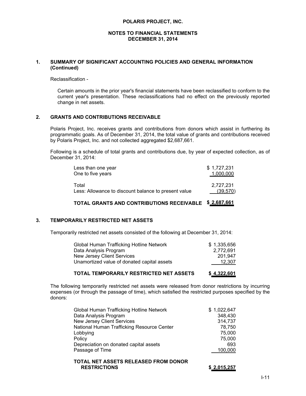### **NOTES TO FINANCIAL STATEMENTS DECEMBER 31, 2014**

## **1. SUMMARY OF SIGNIFICANT ACCOUNTING POLICIES AND GENERAL INFORMATION (Continued)**

Reclassification -

Certain amounts in the prior year's financial statements have been reclassified to conform to the current year's presentation. These reclassifications had no effect on the previously reported change in net assets.

## **2. GRANTS AND CONTRIBUTIONS RECEIVABLE**

Polaris Project, Inc. receives grants and contributions from donors which assist in furthering its programmatic goals. As of December 31, 2014, the total value of grants and contributions received by Polaris Project, Inc. and not collected aggregated \$2,687,661.

Following is a schedule of total grants and contributions due, by year of expected collection, as of December 31, 2014:

| Less than one year                                   | \$1.727.231 |
|------------------------------------------------------|-------------|
| One to five years                                    | 1,000,000   |
| Total                                                | 2.727.231   |
| Less: Allowance to discount balance to present value | (39, 570)   |

### **TOTAL GRANTS AND CONTRIBUTIONS RECEIVABLE \$ 2,687,661**

## **3. TEMPORARILY RESTRICTED NET ASSETS**

Temporarily restricted net assets consisted of the following at December 31, 2014:

| Global Human Trafficking Hotline Network    | \$1.335,656 |
|---------------------------------------------|-------------|
| Data Analysis Program                       | 2.772.691   |
| New Jersey Client Services                  | 201.947     |
| Unamortized value of donated capital assets | 12.307      |

### **TOTAL TEMPORARILY RESTRICTED NET ASSETS \$ 4,322,601**

The following temporarily restricted net assets were released from donor restrictions by incurring expenses (or through the passage of time), which satisfied the restricted purposes specified by the donors:

| Global Human Trafficking Hotline Network   | \$1,022,647 |
|--------------------------------------------|-------------|
| Data Analysis Program                      | 348,430     |
| <b>New Jersey Client Services</b>          | 314,737     |
| National Human Trafficking Resource Center | 78,750      |
| Lobbying                                   | 75,000      |
| Policy                                     | 75,000      |
| Depreciation on donated capital assets     | 693         |
| Passage of Time                            | 100,000     |
|                                            |             |

| TOTAL NET ASSETS RELEASED FROM DONOR |             |
|--------------------------------------|-------------|
| <b>RESTRICTIONS</b>                  | \$2.015.257 |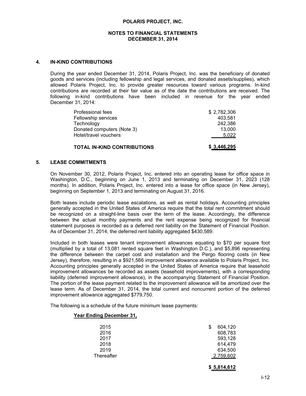### **4. IN-KIND CONTRIBUTIONS**

During the year ended December 31, 2014, Polaris Project, Inc. was the beneficiary of donated goods and services (including fellowship and legal services, and donated assets/supplies), which allowed Polaris Project, Inc. to provide greater resources toward various programs. In-kind contributions are recorded at their fair value as of the date the contributions are received. The following in-kind contributions have been included in revenue for the year ended December 31, 2014:

| <b>TOTAL IN-KIND CONTRIBUTIONS</b> | \$3.446.295 |
|------------------------------------|-------------|
| Hotel/travel vouchers              | 5,022       |
| Donated computers (Note 3)         | 13.000      |
| Technology                         | 242.386     |
| Fellowship services                | 403.581     |
| Professional fees                  | \$2,782,306 |

### **5. LEASE COMMITMENTS**

On November 30, 2012, Polaris Project, Inc. entered into an operating lease for office space in Washington, D.C., beginning on June 1, 2013 and terminating on December 31, 2023 (128 months). In addition, Polaris Project, Inc. entered into a lease for office space (in New Jersey), beginning on September 1, 2013 and terminating on August 31, 2016.

Both leases include periodic lease escalations, as well as rental holidays. Accounting principles generally accepted in the United States of America require that the total rent commitment should be recognized on a straight-line basis over the term of the lease. Accordingly, the difference between the actual monthly payments and the rent expense being recognized for financial statement purposes is recorded as a deferred rent liability on the Statement of Financial Position. As of December 31, 2014, the deferred rent liability aggregated \$430,589.

Included in both leases were tenant improvement allowances equating to \$70 per square foot (multiplied by a total of 13,081 rented square feet in Washington D.C.), and \$5,896 representing the difference between the carpet cost and installation and the Pergo flooring costs (in New Jersey), therefore, resulting in a \$921,566 improvement allowance available to Polaris Project, Inc. Accounting principles generally accepted in the United States of America require that leasehold improvement allowances be recorded as assets (leasehold improvements), with a corresponding liability (deferred improvement allowance), in the accompanying Statement of Financial Position. The portion of the lease payment related to the improvement allowance will be amortized over the lease term. As of December 31, 2014, the total current and noncurrent portion of the deferred improvement allowance aggregated \$779,750.

The following is a schedule of the future minimum lease payments:

### **Year Ending December 31,**

| 2015       | 604,120   |
|------------|-----------|
| 2016       | 608,783   |
| 2017       | 593,128   |
| 2018       | 614,479   |
| 2019       | 634,500   |
| Thereafter | 2,759,602 |
|            |           |

**\$ 5,814,612**